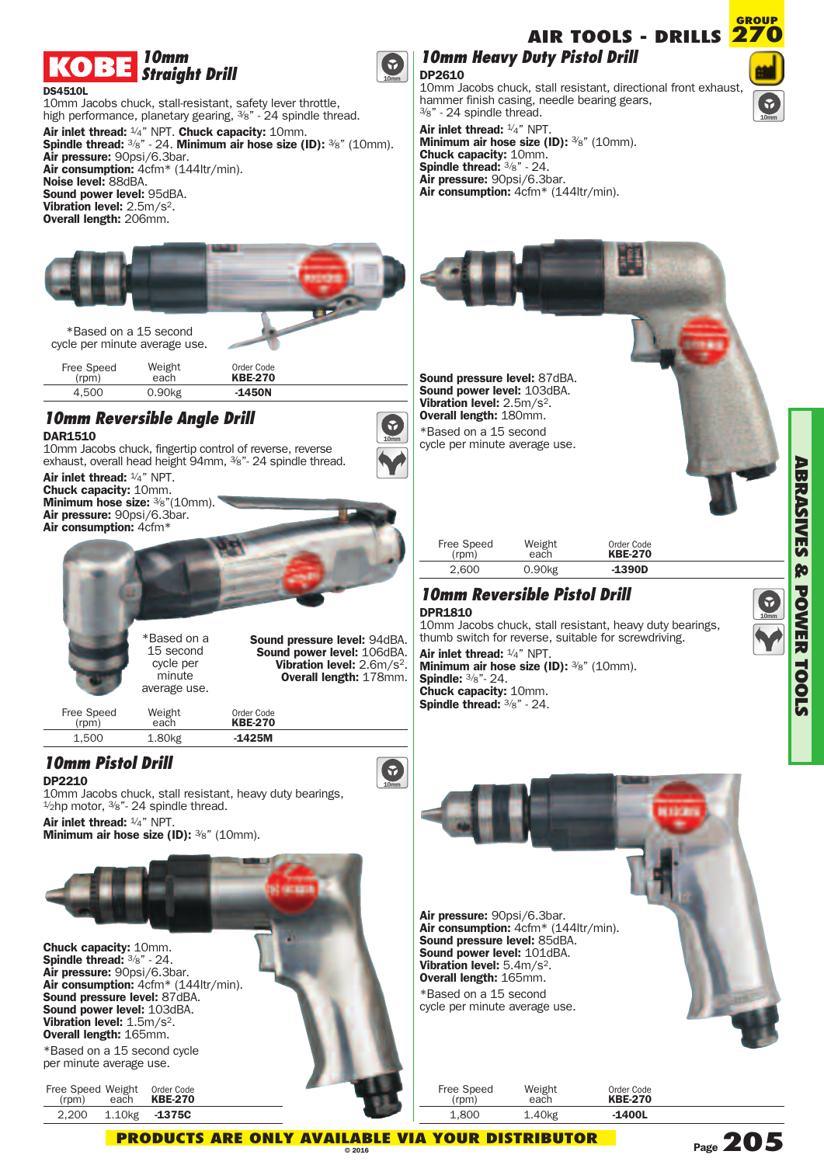

### **DS4510L**

10mm Jacobs chuck, stall-resistant, safety lever throttle, high performance, planetary gearing,  $\frac{3}{8}$ " - 24 spindle thread. **Air inlet thread:** 1/ 4" NPT. **Chuck capacity:** 10mm. **Spindle thread:** 3/ 8" - 24. **Minimum air hose size (ID):** 3/ 8" (10mm). **Air pressure:** 90psi/6.3bar. **Air consumption:** 4cfm\* (144ltr/min). **Noise level:** 88dBA. **Sound power level:** 95dBA. **Vibration level:** 2.5m/s2. **Overall length:** 206mm.



\*Based on a 15 second cycle per minute average use.

Free Speed Weight ee Speed Weight Order Code<br>
(rpm) each **KBE-270** 4,500 0.90kg **-1450N**

# *10mm Reversible Angle Drill*

**DAR1510**

10mm Jacobs chuck, fingertip control of reverse, reverse exhaust, overall head height 94mm, <sup>3</sup>/<sub>8</sub>"- 24 spindle thread.

**Air inlet thread:** 1/ 4" NPT. **Chuck capacity:** 10mm. **Minimum hose size:** 3/ 8"(10mm). **Air pressure:** 90psi/6.3bar. **Air consumption:** 4cfm\*

> \*Based on a 15 second cycle per minute average use.

**Sound pressure level:** 94dBA. **Sound power level:** 106dBA. **Vibration level:** 2.6m/s2. **Overall length:** 178mm.

Free Speed Weight Order Code (rpm) each **KBE-270**

1,500 1.80kg **-1425M**

## *10mm Pistol Drill*

**DP2210**

10mm Jacobs chuck, stall resistant, heavy duty bearings,  $\frac{1}{2}$ hp motor,  $\frac{3}{8}$ " - 24 spindle thread.

**Air inlet thread:** 1/ 4" NPT. **Minimum air hose size (ID):** 3/ 8" (10mm).



**Chuck capacity:** 10mm. **Spindle thread:** 3/8" - 24. **Air pressure:** 90psi/6.3bar. **Air consumption:** 4cfm\* (144ltr/min). **Sound pressure level:** 87dBA. **Sound power level:** 103dBA. **Vibration level:** 1.5m/s2. **Overall length:** 165mm.

\*Based on a 15 second cycle per minute average use.

| Free Speed Weight<br>(rpm) | each                | Order Code<br><b>KBE-270</b> |
|----------------------------|---------------------|------------------------------|
| 2.200                      | 1.10 <sub>k</sub> g | $-1375C$                     |



**10mm**

6

**10mm**

 $\bullet$ 

**10mm** 

10mm Jacobs chuck, stall resistant, directional front exhaust, hammer finish casing, needle bearing gears, 3/ 8" - 24 spindle thread.

**Air inlet thread:** 1/ 4" NPT. **Minimum air hose size (ID):** 3/ 8" (10mm). **Chuck capacity:** 10mm. **Spindle thread:** 3/8" - 24. **Air pressure:** 90psi/6.3bar. **Air consumption:** 4cfm\* (144ltr/min).



| Free Speed<br>(rpm) | Weight<br>each     | Order Code<br><b>KBE-270</b> |
|---------------------|--------------------|------------------------------|
| 2.600               | 0.90 <sub>kg</sub> | $-1390D$                     |

## *10mm Reversible Pistol Drill*

**DPR1810**

10mm Jacobs chuck, stall resistant, heavy duty bearings, thumb switch for reverse, suitable for screwdriving.

**Air inlet thread:** 1/ 4" NPT. **Minimum air hose size (ID):** 3/ 8" (10mm). **Spindle:** 3/8"- 24. **Chuck capacity:** 10mm. **Spindle thread:** 3/8" - 24.

Air pressure: 90psi/6.3bar.<br>Air consumption: 4cfm\* (144ltr/min).<br>Sound pressure level: 85dBA.<br>Sound power level: 101dBA.<br>Vibration level: 5.4m/s<sup>2</sup>.<br>Overall length: 165mm. \*Based on a 15 second cycle per minute average use.

Free Speed Weight e Speed Weight Order Code<br>
(rpm) each **KBE-270** 1,800 1.40kg **-1400L**

**10mm**

# **Page205**

**AIR TOOLS - DRILLS**



**GROUP**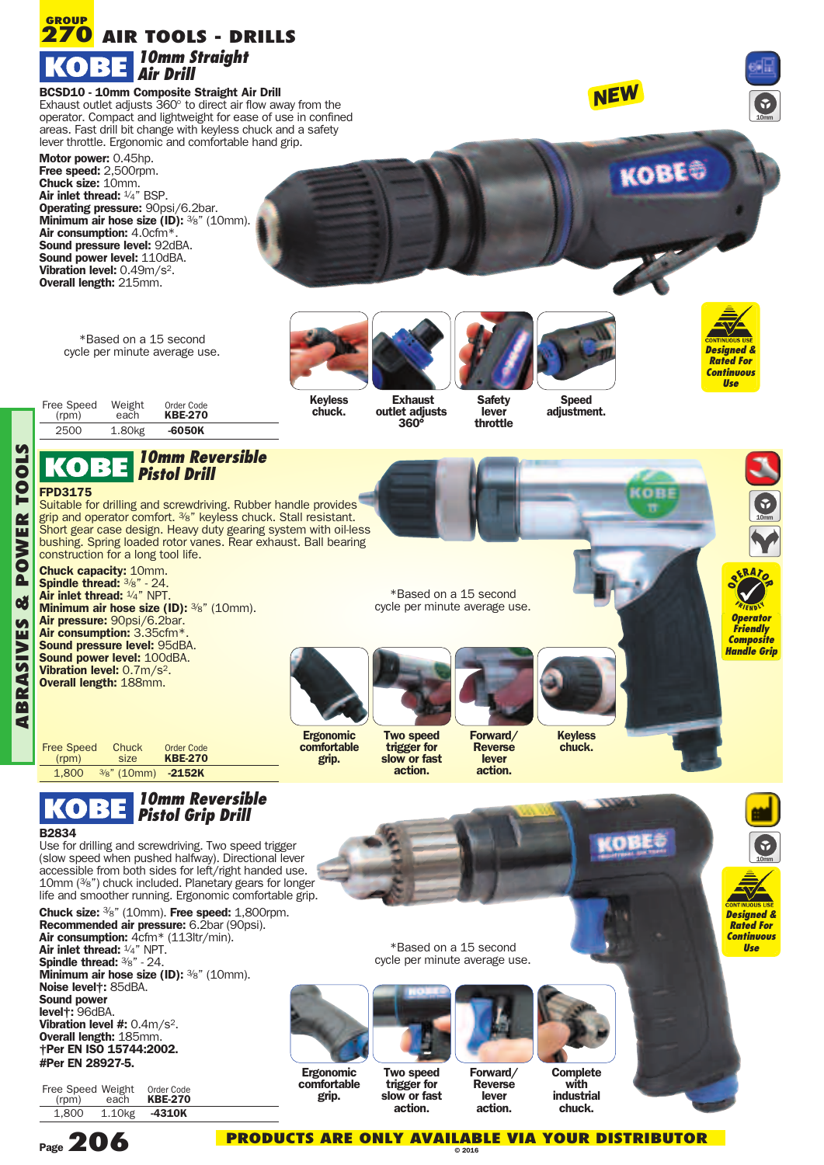

**level #:** 0.4m/s<sup>2</sup>. **Overall length:** 185mm. **†Per EN ISO 15744:2002. #Per EN 28927-5.**

Free Speed Weight ee Speed Weight Order Code<br>(rpm) each **KBE-270** 1,800 1.10kg **-4310K**



**A**

**PO**

**RTOOLS**

**PRODUCTS ARE ONLY AVAILABLE VIA YOUR DISTRIBUTOR**

**Forward/ Reverse lever action.**

**Complete with industrial chuck.**

**© 2016**

**Two speed trigger for slow or fast action.**

**Ergonomic comfortable grip.**